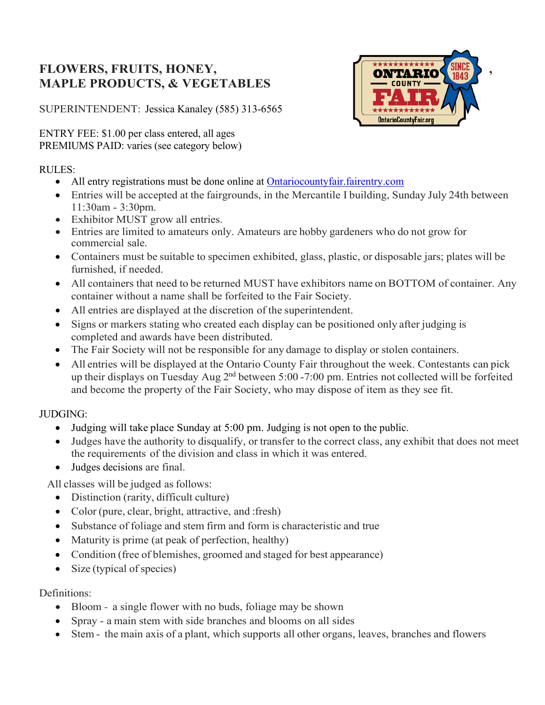# **FLOWERS, FRUITS, HONEY, THE CONTRACT ON THE CONTRACT OF THE CONTRACT OF THE CONTRACT OF THE CONTRACT OF THE CONTRACT OF THE CONTRACT OF THE CONTRACT OF THE CONTRACT OF THE CONTRACT OF THE CONTRACT OF THE CONTRACT OF THE C MAPLE PRODUCTS, & VEGETABLES**

SUPERINTENDENT: Jessica Kanaley (585) 313-6565

ENTRY FEE: \$1.00 per class entered, all ages PREMIUMS PAID: varies (see category below)

# RULES:

- All entry registrations must be done online at **Ontariocountyfair.fairentry.com**
- Entries will be accepted at the fairgrounds, in the Mercantile I building, Sunday July 24th between 11:30am - 3:30pm.
- Exhibitor MUST grow all entries.
- Entries are limited to amateurs only. Amateurs are hobby gardeners who do not grow for commercial sale.
- Containers must be suitable to specimen exhibited, glass, plastic, or disposable jars; plates will be furnished, if needed.
- All containers that need to be returned MUST have exhibitors name on BOTTOM of container. Any container without a name shall be forfeited to the Fair Society.
- All entries are displayed at the discretion of the superintendent.
- Signs or markers stating who created each display can be positioned only after judging is completed and awards have been distributed.
- The Fair Society will not be responsible for any damage to display or stolen containers.
- All entries will be displayed at the Ontario County Fair throughout the week. Contestants can pick up their displays on Tuesday Aug 2<sup>nd</sup> between 5:00 -7:00 pm. Entries not collected will be forfeited and become the property of the Fair Society, who may dispose of item as they see fit.

## JUDGING:

- Judging will take place Sunday at 5:00 pm. Judging is not open to the public.
- Judges have the authority to disqualify, or transfer to the correct class, any exhibit that does not meet the requirements of the division and class in which it was entered.
- Judges decisions are final.

All classes will be judged as follows:

- Distinction (rarity, difficult culture)
- Color (pure, clear, bright, attractive, and : fresh)
- Substance of foliage and stem firm and form is characteristic and true
- Maturity is prime (at peak of perfection, healthy)
- Condition (free of blemishes, groomed and staged for best appearance)
- Size (typical of species)

## Definitions:

- Bloom a single flower with no buds, foliage may be shown
- Spray a main stem with side branches and blooms on all sides
- Stem the main axis of a plant, which supports all other organs, leaves, branches and flowers

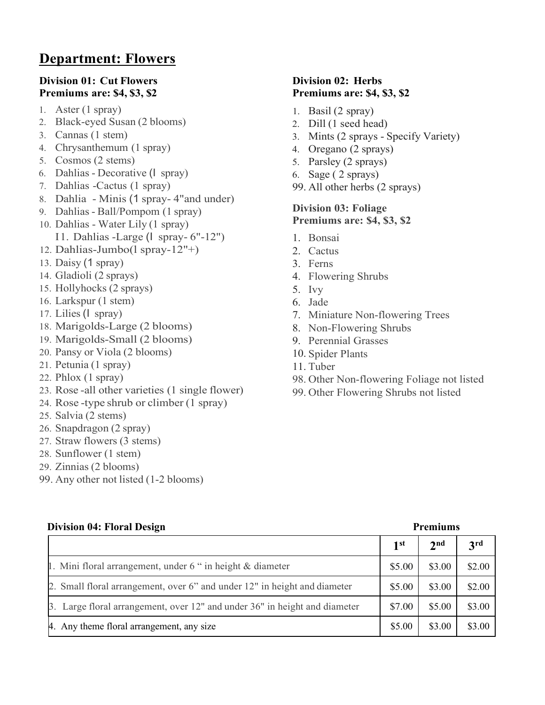# **Department: Flowers**

## **Division 01: Cut Flowers Premiums are: \$4, \$3, \$2**

- 1. Aster (1 spray)
- 2. Black-eyed Susan (2 blooms)
- 3. Cannas (1 stem)
- 4. Chrysanthemum (1 spray)
- 5. Cosmos (2 stems)
- 6. Dahlias Decorative (I spray)
- 7. Dahlias -Cactus (1 spray)
- 8. Dahlia Minis (1 spray- 4"and under)
- 9. Dahlias- Ball/Pompom (1 spray)
- 10. Dahlias Water Lily (1 spray) I1. Dahlias -Large (I spray- 6"-12")
- 12. Dahlias-Jumbo(l spray-12"+)
- 13. Daisy (1 spray)
- 14. Gladioli (2 sprays)
- 15. Hollyhocks (2 sprays)
- 16. Larkspur (1 stem)
- 17. Lilies(I spray)
- 18. Marigolds-Large (2 blooms)
- 19. Marigolds-Small (2 blooms)
- 20. Pansy or Viola (2 blooms)
- 21. Petunia (1 spray)
- 22. Phlox (1 spray)
- 23. Rose -all other varieties (1 single flower)
- 24. Rose -type shrub or climber (1 spray)
- 25. Salvia (2 stems)
- 26. Snapdragon (2 spray)
- 27. Straw flowers (3 stems)
- 28. Sunflower (1 stem)
- 29. Zinnias (2 blooms)
- 99. Any other not listed (1-2 blooms)

# **Division 02: Herbs Premiums are: \$4, \$3, \$2**

- 1. Basil (2 spray)
- 2. Dill (1 seed head)
- 3. Mints (2 sprays Specify Variety)
- 4. Oregano (2 sprays)
- 5. Parsley (2 sprays)
- 6. Sage ( 2 sprays)
- 99. All other herbs (2 sprays)

## **Division 03: Foliage Premiums are: \$4, \$3, \$2**

- 1. Bonsai
- 2. Cactus
- 3. Ferns
- 4. Flowering Shrubs
- 5. Ivy
- 6. Jade
- 7. Miniature Non-flowering Trees
- 8. Non-Flowering Shrubs
- 9. Perennial Grasses
- 10. Spider Plants
- 11. Tuber
- 98. Other Non-flowering Foliage not listed
- 99. Other Flowering Shrubs not listed

| <b>Division 04: Floral Design</b><br><b>Premiums</b>                       |        |                 |                 |
|----------------------------------------------------------------------------|--------|-----------------|-----------------|
|                                                                            | 1st    | 2 <sup>nd</sup> | 3 <sup>rd</sup> |
| 1. Mini floral arrangement, under 6 " in height & diameter                 | \$5.00 | \$3.00          | \$2.00          |
| 2. Small floral arrangement, over 6" and under 12" in height and diameter  | \$5.00 | \$3.00          | \$2.00          |
| 3. Large floral arrangement, over 12" and under 36" in height and diameter | \$7.00 | \$5.00          | \$3.00          |
| 4. Any theme floral arrangement, any size                                  | \$5.00 | \$3.00          | \$3.00          |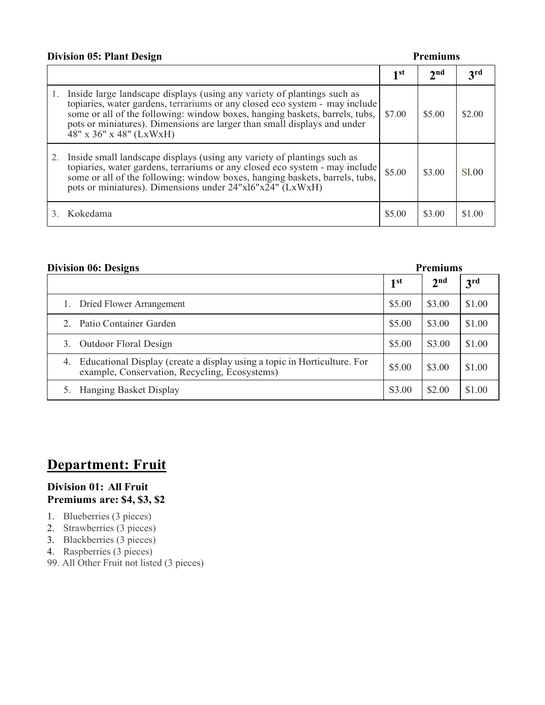## **Division 05: Plant Design Premiums**

|                                                                                                                                                                                                                                                                                                                                                 | 1 st   | 2 <sub>nd</sub> | $\mathbf{3}$ rd |
|-------------------------------------------------------------------------------------------------------------------------------------------------------------------------------------------------------------------------------------------------------------------------------------------------------------------------------------------------|--------|-----------------|-----------------|
| 1. Inside large landscape displays (using any variety of plantings such as<br>topiaries, water gardens, terrariums or any closed eco system - may include<br>some or all of the following: window boxes, hanging baskets, barrels, tubs,<br>pots or miniatures). Dimensions are larger than small displays and under<br>48" x 36" x 48" (LxWxH) | \$7.00 | \$5.00          | \$2.00          |
| 2. Inside small landscape displays (using any variety of plantings such as<br>topiaries, water gardens, terrariums or any closed eco system - may include<br>some or all of the following: window boxes, hanging baskets, barrels, tubs,<br>pots or miniatures). Dimensions under 24"x16"x24" (LxWxH)                                           | \$5.00 | \$3.00          | S1.00           |
| Kokedama                                                                                                                                                                                                                                                                                                                                        | \$5.00 | \$3.00          | \$1.00          |

| <b>Division 06: Designs</b><br><b>Premiums</b>                                                                               |                 |                 |                 |
|------------------------------------------------------------------------------------------------------------------------------|-----------------|-----------------|-----------------|
|                                                                                                                              | 1 <sup>st</sup> | 2 <sup>nd</sup> | 3 <sup>rd</sup> |
| 1. Dried Flower Arrangement                                                                                                  | \$5.00          | \$3.00          | \$1.00          |
| 2. Patio Container Garden                                                                                                    | \$5.00          | \$3.00          | \$1.00          |
| <b>Outdoor Floral Design</b><br>3.                                                                                           | \$5.00          | S3.00           | \$1.00          |
| 4. Educational Display (create a display using a topic in Horticulture. For<br>example, Conservation, Recycling, Ecosystems) | \$5.00          | \$3.00          | \$1.00          |
| Hanging Basket Display                                                                                                       | S3.00           | \$2.00          | \$1.00          |

# **Department: Fruit**

### **Division 01: All Fruit Premiums are: \$4, \$3, \$2**

- 1. Blueberries (3 pieces)
- 2. Strawberries (3 pieces)
- 3. Blackberries (3 pieces)
- 4. Raspberries (3 pieces)
- 99. All Other Fruit not listed (3 pieces)